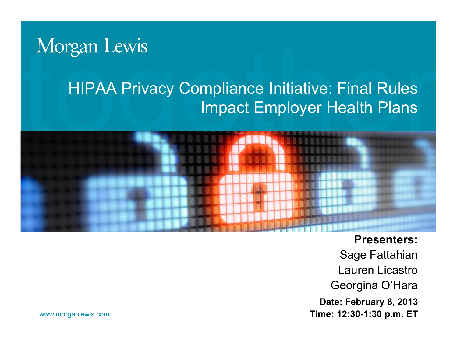# Morgan Lewis

#### HIPAA Privacy Compliance Initiative: Final Rules Impact Employer Health Plans



**Presenters:**  Sage Fattahian Lauren Licastro Georgina O'Hara **Date: February 8, 2013 Time: 12:30-1:30 p.m. ET**

www.morganlewis.com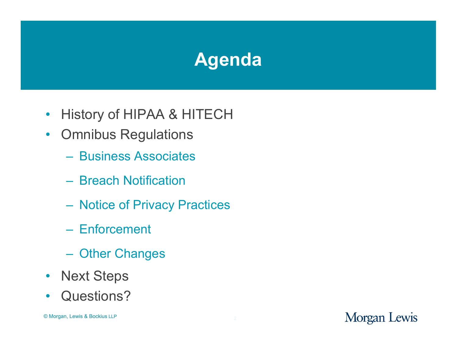# **Agenda**

- History of HIPAA & HITECH
- Omnibus Regulations
	- Business Associates
	- Breach Notification
	- Notice of Privacy Practices
	- Enforcement
	- Other Changes
- Next Steps
- Questions?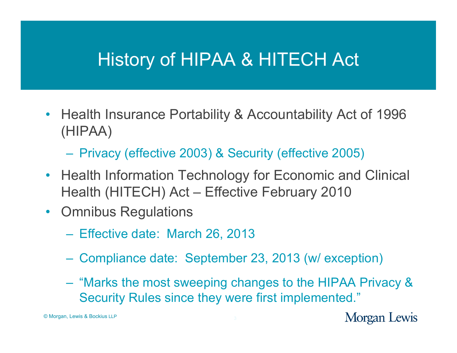#### History of HIPAA & HITECH Act

- Health Insurance Portability & Accountability Act of 1996 (HIPAA)
	- Privacy (effective 2003) & Security (effective 2005)
- Health Information Technology for Economic and Clinical Health (HITECH) Act – Effective February 2010
- Omnibus Regulations
	- Effective date: March 26, 2013
	- Compliance date: September 23, 2013 (w/ exception)
	- "Marks the most sweeping changes to the HIPAA Privacy & Security Rules since they were first implemented."

© Morgan, Lewis & Bockius LLP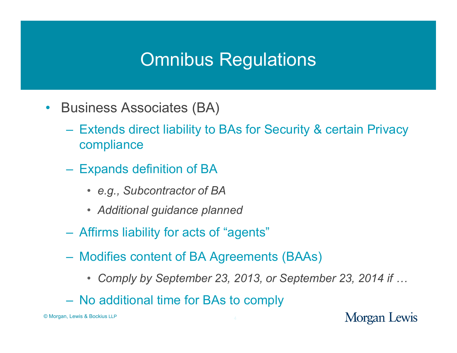- Business Associates (BA)
	- Extends direct liability to BAs for Security & certain Privacy compliance
	- Expands definition of BA
		- *e.g., Subcontractor of BA*
		- *Additional guidance planned*
	- Affirms liability for acts of "agents"
	- Modifies content of BA Agreements (BAAs)
		- *Comply by September 23, 2013, or September 23, 2014 if …*
	- No additional time for BAs to comply

© Morgan, Lewis & Bockius LLP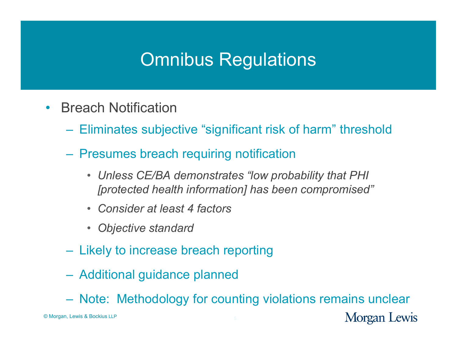- Breach Notification
	- Eliminates subjective "significant risk of harm" threshold
	- Presumes breach requiring notification
		- *Unless CE/BA demonstrates "low probability that PHI [protected health information] has been compromised"*
		- *Consider at least 4 factors*
		- *Objective standard*
	- Likely to increase breach reporting
	- Additional guidance planned
	- Note: Methodology for counting violations remains unclear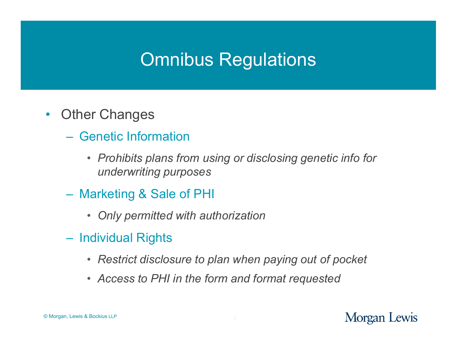- Other Changes
	- Genetic Information
		- *Prohibits plans from using or disclosing genetic info for underwriting purposes*
	- Marketing & Sale of PHI
		- *Only permitted with authorization*
	- Individual Rights
		- *Restrict disclosure to plan when paying out of pocket*
		- *Access to PHI in the form and format requested*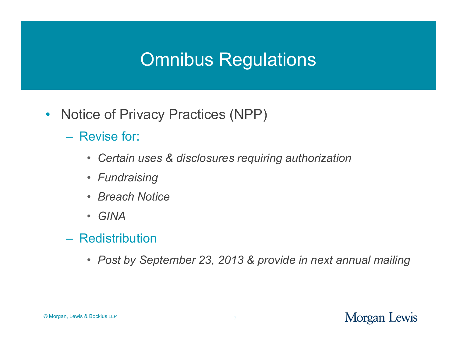- Notice of Privacy Practices (NPP)
	- Revise for:
		- *Certain uses & disclosures requiring authorization*
		- *Fundraising*
		- *Breach Notice*
		- *GINA*
	- Redistribution
		- *Post by September 23, 2013 & provide in next annual mailing*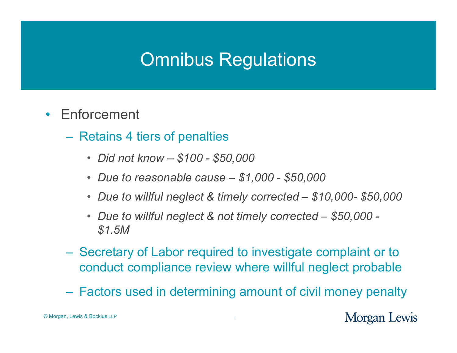- Enforcement
	- Retains 4 tiers of penalties
		- *Did not know – \$100 - \$50,000*
		- *Due to reasonable cause – \$1,000 - \$50,000*
		- *Due to willful neglect & timely corrected – \$10,000- \$50,000*
		- *Due to willful neglect & not timely corrected – \$50,000 - \$1.5M*
	- Secretary of Labor required to investigate complaint or to conduct compliance review where willful neglect probable
	- Factors used in determining amount of civil money penalty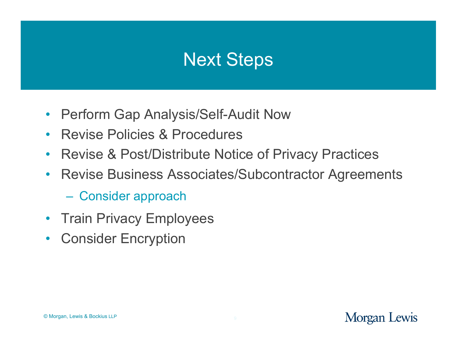#### Next Steps

- Perform Gap Analysis/Self-Audit Now
- Revise Policies & Procedures
- Revise & Post/Distribute Notice of Privacy Practices
- Revise Business Associates/Subcontractor Agreements
	- Consider approach
- Train Privacy Employees
- Consider Encryption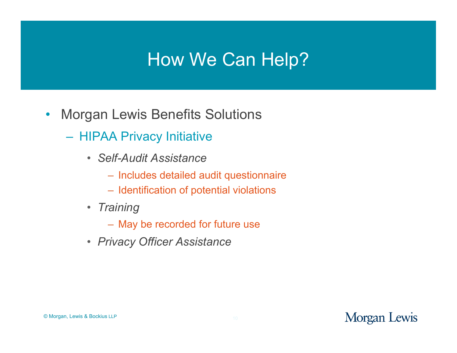#### How We Can Help?

- Morgan Lewis Benefits Solutions
	- HIPAA Privacy Initiative
		- *Self-Audit Assistance*
			- Includes detailed audit questionnaire
			- Identification of potential violations
		- *Training* 
			- May be recorded for future use
		- *Privacy Officer Assistance*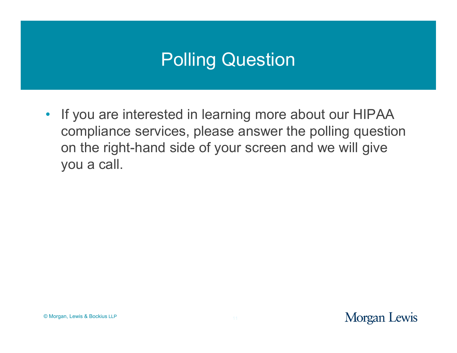# Polling Question

• If you are interested in learning more about our HIPAA compliance services, please answer the polling question on the right-hand side of your screen and we will give you a call.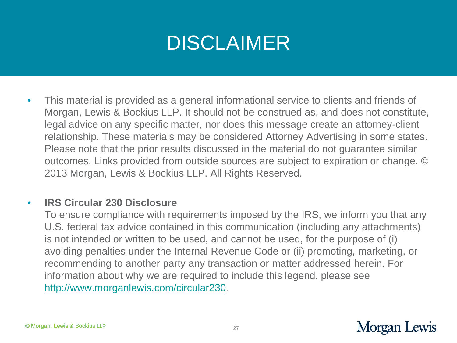# DISCLAIMER

 $\bullet$  This material is provided as a general informational service to clients and friends of Morgan, Lewis & Bockius LLP. It should not be construed as, and does not constitute, legal advice on any specific matter, nor does this message create an attorney-client relationship. These materials may be considered Attorney Advertising in some states. Please note that the prior results discussed in the material do not guarantee similar outcomes. Links provided from outside sources are subject to expiration or change. © 2013 Morgan, Lewis & Bockius LLP. All Rights Reserved.

#### $\bullet$ **IRS Circular 230 Disclosure**

To ensure compliance with requirements imposed by the IRS, we inform you that any U.S. federal tax advice contained in this communication (including any attachments) is not intended or written to be used, and cannot be used, for the purpose of (i) avoiding penalties under the Internal Revenue Code or (ii) promoting, marketing, or recommending to another party any transaction or matter addressed herein. For information about why we are required to include this legend, please see http://www.morganlewis.com/circular230.

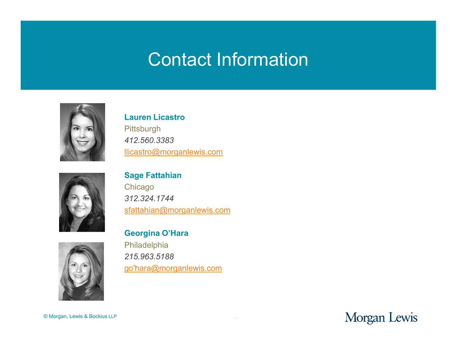#### Contact Information



**Lauren Licastro Pittsburgh** *412.560.3383*  llicastro@morganlewis.com



**Sage Fattahian Chicago** *312.324.1744*  sfattahian@morganlewis.com

**Georgina O'Hara**

Philadelphia *215.963.5188*  go'hara@morganlewis.com

© Morgan, Lewis & Bockius LLP